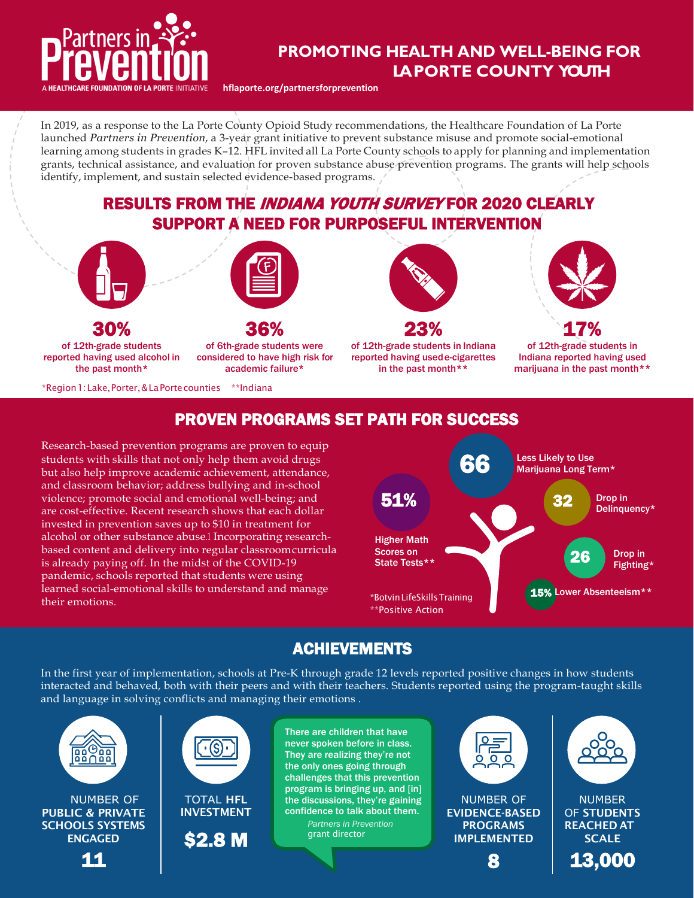

## **PROMOTING HEALTH AND WELL-BEING PROMOTING HEALTH AND FOR LA PORTE COUNTY WELL-BEING YOUTH FOR LAPORTE COUNTY YOUTH**

**[hflaporte.org/partnersforprevention](http://hflaporte.org/partnersforprevention)**

In 2019, as a response to the La Porte County Opioid Study recommendations, the Healthcare Foundation of La Porte launched *Partners in Prevention*, a 3-year grant initiative to prevent substance misuse and promote social-emotional learning among students in grades K-12. HFL invited all La Porte County schools to apply for planning and implementation grants, technical assistance, and evaluation for proven substance abuse prevention programs. The grants will help schools identify, implement, and sustain selected evidence-based programs.

RESULTS FROM THE *INDIANA YOUTH SURVEY* FOR 2020 CLEARLY SUPPORT A NEED FOR PURPOSEFUL INTERVENTION





30% of 12th-grade students reported having used alcohol in the past month\*

36% of 6th-grade students were considered to have high risk for academic failure\*

\*Region1:Lake,Porter,&LaPortecounties \*\*Indiana







17% of 12th-grade students in Indiana reported having used marijuana in the past month\*\*

### PROVEN PROGRAMS SET PATH FOR SUCCESS

Research-based prevention programs are proven to equip students with skills that not only help them avoid drugs but also help improve academic achievement, attendance, and classroom behavior; address bullying and in-school violence; promote social and emotional well-being; and are cost-effective. Recent research shows that each dollar invested in prevention saves up to \$10 in treatment for alcohol or other substance abuse.1 Incorporating researchbased content and delivery into regular classroomcurricula is already paying off. In the midst of the COVID-19 pandemic, schools reported that students were using learned social-emotional skills to understand and manage their emotions. \*BotvinLifeSkillsTraining



## ACHIEVEMENTS

In the first year of implementation, schools at Pre-K through grade 12 levels reported positive changes in how students interacted and behaved, both with their peers and with their teachers. Students reported using the program-taught skills and language in solving conflicts and managing their emotions .